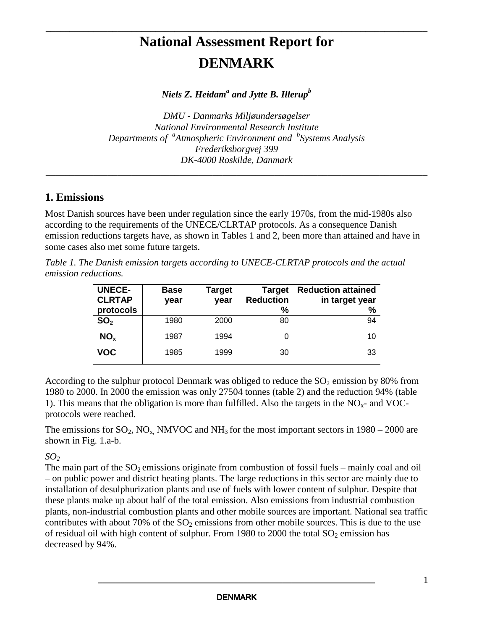# **National Assessment Report for DENMARK**

**\_\_\_\_\_\_\_\_\_\_\_\_\_\_\_\_\_\_\_\_\_\_\_\_\_\_\_\_\_\_\_\_\_\_\_\_\_\_\_\_\_\_\_\_\_\_\_\_\_\_\_\_\_\_\_\_\_\_\_\_\_\_\_\_\_\_\_\_\_\_\_\_\_\_\_\_\_\_\_\_**

*Niels Z. Heidam a and Jytte B. Illerup b*

*DMU - Danmarks Miljøundersøgelser National Environmental Research Institute Departments of a Atmospheric Environment and b Systems Analysis Frederiksborgvej 399 DK-4000 Roskilde, Danmark*

**\_\_\_\_\_\_\_\_\_\_\_\_\_\_\_\_\_\_\_\_\_\_\_\_\_\_\_\_\_\_\_\_\_\_\_\_\_\_\_\_\_\_\_\_\_\_\_\_\_\_\_\_\_\_\_\_\_\_\_\_\_\_\_\_\_\_\_\_\_\_\_\_\_\_\_\_\_\_\_\_**

## **1. Emissions**

Most Danish sources have been under regulation since the early 1970s, from the mid-1980s also according to the requirements of the UNECE/CLRTAP protocols. As a consequence Danish emission reductions targets have, as shown in Tables 1 and 2, been more than attained and have in some cases also met some future targets.

*Table 1. The Danish emission targets according to UNECE-CLRTAP protocols and the actual emission reductions.*

| <b>UNECE-</b><br><b>CLRTAP</b><br>protocols | <b>Base</b><br>year | Target<br>year | <b>Target</b><br><b>Reduction</b><br>% | <b>Reduction attained</b><br>in target year<br>% |
|---------------------------------------------|---------------------|----------------|----------------------------------------|--------------------------------------------------|
| SO <sub>2</sub>                             | 1980                | 2000           | 80                                     | 94                                               |
| NO <sub>x</sub>                             | 1987                | 1994           | 0                                      | 10                                               |
| VOC                                         | 1985                | 1999           | 30                                     | 33                                               |

According to the sulphur protocol Denmark was obliged to reduce the  $SO_2$  emission by 80% from 1980 to 2000. In 2000 the emission was only 27504 tonnes (table 2) and the reduction 94% (table 1). This means that the obligation is more than fulfilled. Also the targets in the  $NO<sub>x</sub>$ - and VOCprotocols were reached.

The emissions for  $SO_2$ ,  $NO_x$ , NMVOC and NH<sub>3</sub> for the most important sectors in 1980 – 2000 are shown in Fig. 1.a-b.

*SO<sup>2</sup>*

The main part of the  $SO_2$  emissions originate from combustion of fossil fuels – mainly coal and oil – on public power and district heating plants. The large reductions in this sector are mainly due to installation of desulphurization plants and use of fuels with lower content of sulphur. Despite that these plants make up about half of the total emission. Also emissions from industrial combustion plants, non-industrial combustion plants and other mobile sources are important. National sea traffic contributes with about 70% of the  $SO<sub>2</sub>$  emissions from other mobile sources. This is due to the use of residual oil with high content of sulphur. From 1980 to 2000 the total  $SO_2$  emission has decreased by 94%.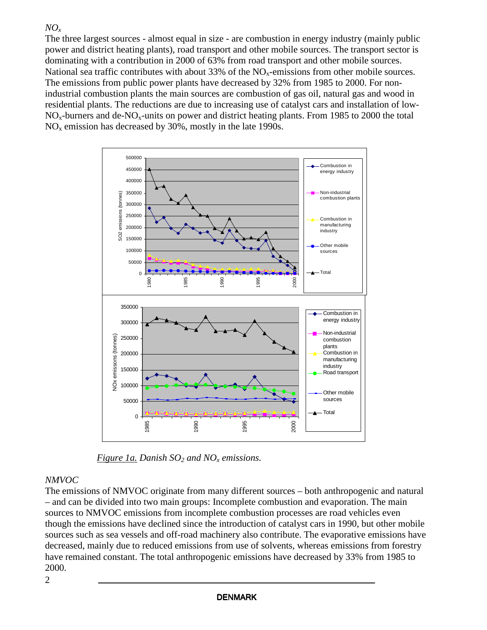#### *NO<sup>x</sup>*

The three largest sources - almost equal in size - are combustion in energy industry (mainly public power and district heating plants), road transport and other mobile sources. The transport sector is dominating with a contribution in 2000 of 63% from road transport and other mobile sources. National sea traffic contributes with about 33% of the  $NO<sub>x</sub>$ -emissions from other mobile sources. The emissions from public power plants have decreased by 32% from 1985 to 2000. For nonindustrial combustion plants the main sources are combustion of gas oil, natural gas and wood in residential plants. The reductions are due to increasing use of catalyst cars and installation of low-NOx-burners and de-NOx-units on power and district heating plants. From 1985 to 2000 the total  $NO<sub>x</sub>$  emission has decreased by 30%, mostly in the late 1990s.



*Figure 1a. Danish SO<sup>2</sup> and NO<sup>x</sup> emissions.*

## *NMVOC*

The emissions of NMVOC originate from many different sources – both anthropogenic and natural – and can be divided into two main groups: Incomplete combustion and evaporation. The main sources to NMVOC emissions from incomplete combustion processes are road vehicles even though the emissions have declined since the introduction of catalyst cars in 1990, but other mobile sources such as sea vessels and off-road machinery also contribute. The evaporative emissions have decreased, mainly due to reduced emissions from use of solvents, whereas emissions from forestry have remained constant. The total anthropogenic emissions have decreased by 33% from 1985 to 2000.

2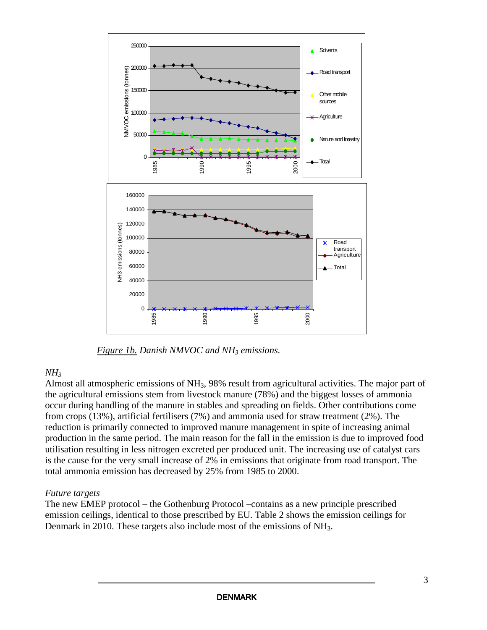

*Figure 1b. Danish NMVOC and NH<sup>3</sup> emissions.*

## *NH<sup>3</sup>*

Almost all atmospheric emissions of NH3, 98% result from agricultural activities. The major part of the agricultural emissions stem from livestock manure (78%) and the biggest losses of ammonia occur during handling of the manure in stables and spreading on fields. Other contributions come from crops (13%), artificial fertilisers (7%) and ammonia used for straw treatment (2%). The reduction is primarily connected to improved manure management in spite of increasing animal production in the same period. The main reason for the fall in the emission is due to improved food utilisation resulting in less nitrogen excreted per produced unit. The increasing use of catalyst cars is the cause for the very small increase of 2% in emissions that originate from road transport. The total ammonia emission has decreased by 25% from 1985 to 2000.

## *Future targets*

The new EMEP protocol – the Gothenburg Protocol –contains as a new principle prescribed emission ceilings, identical to those prescribed by EU. Table 2 shows the emission ceilings for Denmark in 2010. These targets also include most of the emissions of NH<sub>3</sub>.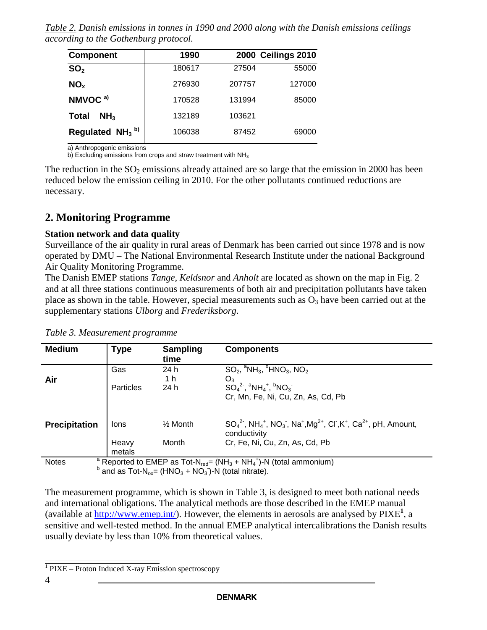*Table 2. Danish emissions in tonnes in 1990 and 2000 along with the Danish emissions ceilings according to the Gothenburg protocol.*

| <b>Component</b>                | 1990   |        | <b>2000 Ceilings 2010</b> |
|---------------------------------|--------|--------|---------------------------|
| SO <sub>2</sub>                 | 180617 | 27504  | 55000                     |
| NO <sub>x</sub>                 | 276930 | 207757 | 127000                    |
| NMVOC <sup>a)</sup>             | 170528 | 131994 | 85000                     |
| NH <sub>3</sub><br><b>Total</b> | 132189 | 103621 |                           |
| Regulated $NH3$ <sup>b)</sup>   | 106038 | 87452  | 69000                     |

a) Anthropogenic emissions

b) Excluding emissions from crops and straw treatment with  $NH<sub>3</sub>$ 

The reduction in the  $SO_2$  emissions already attained are so large that the emission in 2000 has been reduced below the emission ceiling in 2010. For the other pollutants continued reductions are necessary.

# **2. Monitoring Programme**

#### **Station network and data quality**

Surveillance of the air quality in rural areas of Denmark has been carried out since 1978 and is now operated by DMU – The National Environmental Research Institute under the national Background Air Quality Monitoring Programme.

The Danish EMEP stations *Tange, Keldsnor* and *Anholt* are located as shown on the map in Fig. 2 and at all three stations continuous measurements of both air and precipitation pollutants have taken place as shown in the table. However, special measurements such as  $O_3$  have been carried out at the supplementary stations *Ulborg* and *Frederiksborg*.

| <b>Medium</b>                                                                                                                                           | <b>Type</b>     | <b>Sampling</b><br>time | <b>Components</b>                                                                                                                                                    |  |  |  |
|---------------------------------------------------------------------------------------------------------------------------------------------------------|-----------------|-------------------------|----------------------------------------------------------------------------------------------------------------------------------------------------------------------|--|--|--|
| Air                                                                                                                                                     | Gas             | 24 h<br>1 h             | $SO_2$ , ${}^{\circ}NH_3$ , ${}^{\circ}HNO_3$ , $NO_2$<br>$O_3$                                                                                                      |  |  |  |
|                                                                                                                                                         | Particles       | 24 h                    | $SO42$ , ${}^{a}NH_{4}$ , ${}^{b}NO_{3}$<br>Cr, Mn, Fe, Ni, Cu, Zn, As, Cd, Pb                                                                                       |  |  |  |
| <b>Precipitation</b>                                                                                                                                    | lons            | $\frac{1}{2}$ Month     | $SO_4^2$ , NH <sub>4</sub> <sup>+</sup> , NO <sub>3</sub> , Na <sup>+</sup> , Mg <sup>2+</sup> , Cl, K <sup>+</sup> , Ca <sup>2+</sup> , pH, Amount,<br>conductivity |  |  |  |
|                                                                                                                                                         | Heavy<br>metals | Month                   | Cr, Fe, Ni, Cu, Zn, As, Cd, Pb                                                                                                                                       |  |  |  |
| Reported to EMEP as Tot-N <sub>red</sub> = (NH <sub>3</sub> + NH <sub>4</sub> <sup>+</sup> )-N (total ammonium)<br><b>Notes</b><br>n.<br>$\overline{a}$ |                 |                         |                                                                                                                                                                      |  |  |  |

*Table 3. Measurement programme*

 $b$  and as Tot-N<sub>ox</sub>= (HNO<sub>3</sub> + NO<sub>3</sub>)-N (total nitrate).

The measurement programme, which is shown in Table 3, is designed to meet both national needs and international obligations. The analytical methods are those described in the EMEP manual (available at http://www.emep.int/). However, the elements in aerosols are analysed by PIXE<sup>1</sup>, a sensitive and well-tested method. In the annual EMEP analytical intercalibrations the Danish results usually deviate by less than 10% from theoretical values.

<sup>&</sup>lt;sup>1</sup> PIXE – Proton Induced X-ray Emission spectroscopy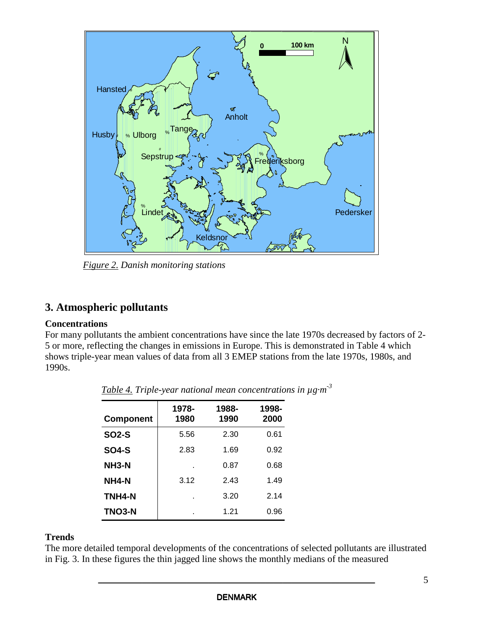

*Figure 2. Danish monitoring stations*

# **3. Atmospheric pollutants**

#### **Concentrations**

For many pollutants the ambient concentrations have since the late 1970s decreased by factors of 2- 5 or more, reflecting the changes in emissions in Europe. This is demonstrated in Table 4 which shows triple-year mean values of data from all 3 EMEP stations from the late 1970s, 1980s, and 1990s.

| <b>Component</b>   | 1978-<br>1980 | 1988-<br>1990 | 1998-<br>2000 |
|--------------------|---------------|---------------|---------------|
| <b>SO2-S</b>       | 5.56          | 2.30          | 0.61          |
| SO4-S              | 2.83          | 1.69          | 0.92          |
| NH <sub>3</sub> -N | ä,            | 0.87          | 0.68          |
| NH4-N              | 3.12          | 2.43          | 1.49          |
| TNH4-N             | ä,            | 3.20          | 2.14          |
| <b>TNO3-N</b>      | ٠             | 1.21          | 0.96          |

*Table 4. Triple-year national mean concentrations in µg·m -3*

# **Trends**

The more detailed temporal developments of the concentrations of selected pollutants are illustrated in Fig. 3. In these figures the thin jagged line shows the monthly medians of the measured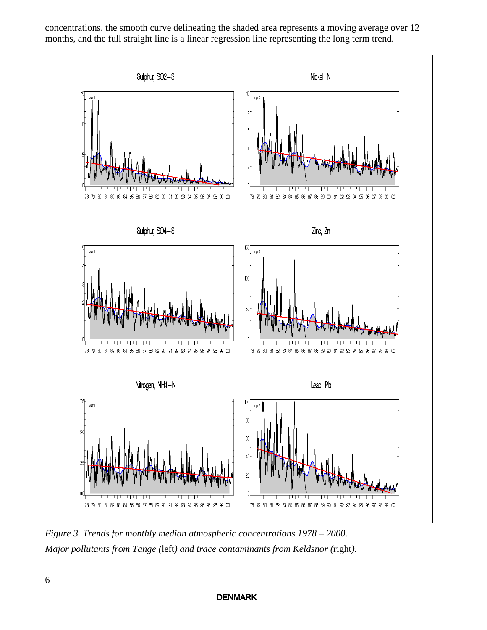

concentrations, the smooth curve delineating the shaded area represents a moving average over 12 months, and the full straight line is a linear regression line representing the long term trend.

*Figure 3. Trends for monthly median atmospheric concentrations 1978 – 2000. Major pollutants from Tange (*left*) and trace contaminants from Keldsnor (*right*).*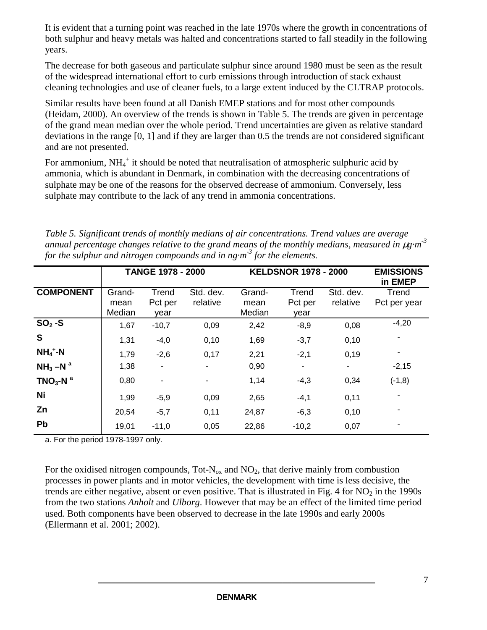It is evident that a turning point was reached in the late 1970s where the growth in concentrations of both sulphur and heavy metals was halted and concentrations started to fall steadily in the following years.

The decrease for both gaseous and particulate sulphur since around 1980 must be seen as the result of the widespread international effort to curb emissions through introduction of stack exhaust cleaning technologies and use of cleaner fuels, to a large extent induced by the CLTRAP protocols.

Similar results have been found at all Danish EMEP stations and for most other compounds (Heidam, 2000). An overview of the trends is shown in Table 5. The trends are given in percentage of the grand mean median over the whole period. Trend uncertainties are given as relative standard deviations in the range [0, 1] and if they are larger than 0.5 the trends are not considered significant and are not presented.

For ammonium, NH<sub>4</sub><sup>+</sup> it should be noted that neutralisation of atmospheric sulphuric acid by ammonia, which is abundant in Denmark, in combination with the decreasing concentrations of sulphate may be one of the reasons for the observed decrease of ammonium. Conversely, less sulphate may contribute to the lack of any trend in ammonia concentrations.

| Table 5. Significant trends of monthly medians of air concentrations. Trend values are average                    |
|-------------------------------------------------------------------------------------------------------------------|
| annual percentage changes relative to the grand means of the monthly medians, measured in $\mu$ g·m <sup>-3</sup> |
| for the sulphur and nitrogen compounds and in $n_g \cdot m^3$ for the elements.                                   |

|                                  | <b>TANGE 1978 - 2000</b> |                          |                          | <b>KELDSNOR 1978 - 2000</b> | <b>EMISSIONS</b><br>in EMEP |                       |                       |
|----------------------------------|--------------------------|--------------------------|--------------------------|-----------------------------|-----------------------------|-----------------------|-----------------------|
| <b>COMPONENT</b>                 | Grand-<br>mean<br>Median | Trend<br>Pct per<br>vear | Std. dev.<br>relative    | Grand-<br>mean<br>Median    | Trend<br>Pct per<br>vear    | Std. dev.<br>relative | Trend<br>Pct per year |
| $SO2 -S$                         | 1,67                     | $-10,7$                  | 0,09                     | 2,42                        | $-8,9$                      | 0,08                  | $-4,20$               |
| S                                | 1,31                     | $-4,0$                   | 0,10                     | 1,69                        | $-3,7$                      | 0,10                  |                       |
| $NH_4$ <sup>+</sup> -N           | 1,79                     | $-2,6$                   | 0,17                     | 2,21                        | $-2,1$                      | 0,19                  |                       |
| $NH3 - Na$                       | 1,38                     | ۰                        |                          | 0,90                        |                             | ۰.                    | $-2,15$               |
| TNO <sub>3</sub> -N <sup>a</sup> | 0,80                     | ٠                        | $\overline{\phantom{a}}$ | 1,14                        | $-4,3$                      | 0,34                  | $(-1,8)$              |
| Ni                               | 1,99                     | $-5,9$                   | 0,09                     | 2,65                        | $-4,1$                      | 0,11                  |                       |
| Zn                               | 20,54                    | $-5,7$                   | 0,11                     | 24,87                       | $-6,3$                      | 0,10                  |                       |
| Pb                               | 19,01                    | $-11,0$                  | 0,05                     | 22,86                       | $-10,2$                     | 0,07                  |                       |

a. For the period 1978-1997 only.

For the oxidised nitrogen compounds, Tot- $N_{ox}$  and  $NO_2$ , that derive mainly from combustion processes in power plants and in motor vehicles, the development with time is less decisive, the trends are either negative, absent or even positive. That is illustrated in Fig. 4 for  $NO<sub>2</sub>$  in the 1990s from the two stations *Anholt* and *Ulborg*. However that may be an effect of the limited time period used. Both components have been observed to decrease in the late 1990s and early 2000s (Ellermann et al. 2001; 2002).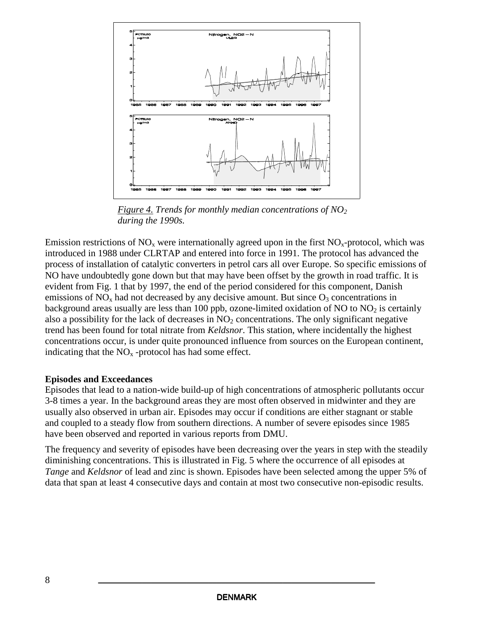

*Figure 4. Trends for monthly median concentrations of NO<sup>2</sup> during the 1990s.*

Emission restrictions of  $NO<sub>x</sub>$  were internationally agreed upon in the first  $NO<sub>x</sub>$ -protocol, which was introduced in 1988 under CLRTAP and entered into force in 1991. The protocol has advanced the process of installation of catalytic converters in petrol cars all over Europe. So specific emissions of NO have undoubtedly gone down but that may have been offset by the growth in road traffic. It is evident from Fig. 1 that by 1997, the end of the period considered for this component, Danish emissions of  $NO<sub>x</sub>$  had not decreased by any decisive amount. But since  $O<sub>3</sub>$  concentrations in background areas usually are less than 100 ppb, ozone-limited oxidation of NO to NO<sub>2</sub> is certainly also a possibility for the lack of decreases in  $NO<sub>2</sub>$  concentrations. The only significant negative trend has been found for total nitrate from *Keldsnor*. This station, where incidentally the highest concentrations occur, is under quite pronounced influence from sources on the European continent, indicating that the  $NO<sub>x</sub>$ -protocol has had some effect.

#### **Episodes and Exceedances**

Episodes that lead to a nation-wide build-up of high concentrations of atmospheric pollutants occur 3-8 times a year. In the background areas they are most often observed in midwinter and they are usually also observed in urban air. Episodes may occur if conditions are either stagnant or stable and coupled to a steady flow from southern directions. A number of severe episodes since 1985 have been observed and reported in various reports from DMU.

The frequency and severity of episodes have been decreasing over the years in step with the steadily diminishing concentrations. This is illustrated in Fig. 5 where the occurrence of all episodes at *Tange* and *Keldsnor* of lead and zinc is shown. Episodes have been selected among the upper 5% of data that span at least 4 consecutive days and contain at most two consecutive non-episodic results.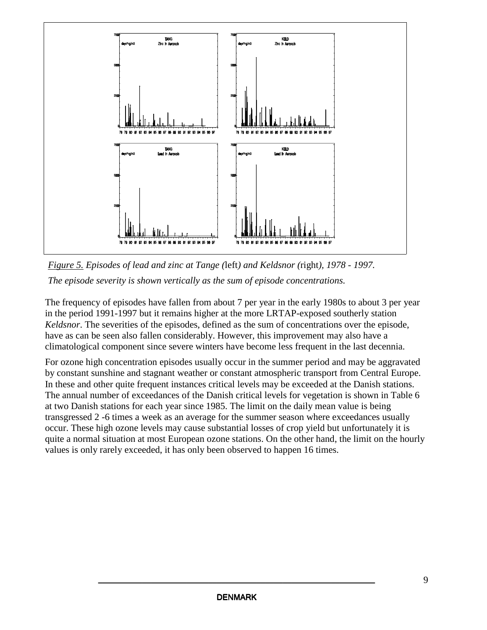

*Figure 5. Episodes of lead and zinc at Tange (*left*) and Keldsnor (*right*), 1978 - 1997. The episode severity is shown vertically as the sum of episode concentrations.*

The frequency of episodes have fallen from about 7 per year in the early 1980s to about 3 per year in the period 1991-1997 but it remains higher at the more LRTAP-exposed southerly station *Keldsnor*. The severities of the episodes, defined as the sum of concentrations over the episode, have as can be seen also fallen considerably. However, this improvement may also have a climatological component since severe winters have become less frequent in the last decennia.

For ozone high concentration episodes usually occur in the summer period and may be aggravated by constant sunshine and stagnant weather or constant atmospheric transport from Central Europe. In these and other quite frequent instances critical levels may be exceeded at the Danish stations. The annual number of exceedances of the Danish critical levels for vegetation is shown in Table 6 at two Danish stations for each year since 1985. The limit on the daily mean value is being transgressed 2 -6 times a week as an average for the summer season where exceedances usually occur. These high ozone levels may cause substantial losses of crop yield but unfortunately it is quite a normal situation at most European ozone stations. On the other hand, the limit on the hourly values is only rarely exceeded, it has only been observed to happen 16 times.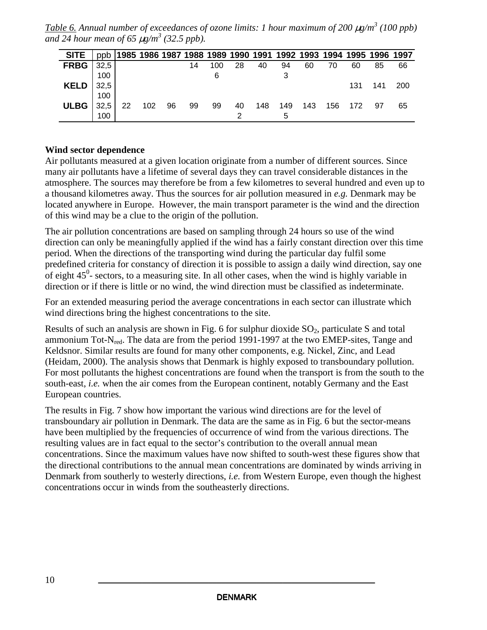*Table 6. Annual number of exceedances of ozone limits: 1 hour maximum of 200* <sup>µ</sup>*g/m 3 (100 ppb) and 24 hour mean of 65* <sup>µ</sup>*g/m 3 (32.5 ppb).*

| <b>SITE</b>   |      |    |     |    |    |     |    |     |     |     |    |         | ppb 1985 1986 1987 1988 1989 1990 1991 1992 1993 1994 1995 1996 1997 |            |
|---------------|------|----|-----|----|----|-----|----|-----|-----|-----|----|---------|----------------------------------------------------------------------|------------|
| <b>FRBG</b>   | 32,5 |    |     |    | 14 | 100 | 28 | 40  | 94  | 60  | 70 | 60      | 85                                                                   | 66         |
|               | 100  |    |     |    |    |     |    |     |     |     |    |         |                                                                      |            |
| KELD $ 32,5 $ |      |    |     |    |    |     |    |     |     |     |    | 131     | 141                                                                  | <b>200</b> |
|               | 100  |    |     |    |    |     |    |     |     |     |    |         |                                                                      |            |
| <b>ULBG</b>   | 32.5 | 22 | 102 | 96 | 99 | 99  | 40 | 148 | 149 | 143 |    | 156 172 | 97                                                                   | 65         |
|               | 100  |    |     |    |    |     |    |     | 5   |     |    |         |                                                                      |            |

#### **Wind sector dependence**

Air pollutants measured at a given location originate from a number of different sources. Since many air pollutants have a lifetime of several days they can travel considerable distances in the atmosphere. The sources may therefore be from a few kilometres to several hundred and even up to a thousand kilometres away. Thus the sources for air pollution measured in *e.g.* Denmark may be located anywhere in Europe. However, the main transport parameter is the wind and the direction of this wind may be a clue to the origin of the pollution.

The air pollution concentrations are based on sampling through 24 hours so use of the wind direction can only be meaningfully applied if the wind has a fairly constant direction over this time period. When the directions of the transporting wind during the particular day fulfil some predefined criteria for constancy of direction it is possible to assign a daily wind direction, say one of eight  $45^{\circ}$ - sectors, to a measuring site. In all other cases, when the wind is highly variable in direction or if there is little or no wind, the wind direction must be classified as indeterminate.

For an extended measuring period the average concentrations in each sector can illustrate which wind directions bring the highest concentrations to the site.

Results of such an analysis are shown in Fig. 6 for sulphur dioxide  $SO<sub>2</sub>$ , particulate S and total ammonium Tot-N<sub>red</sub>. The data are from the period 1991-1997 at the two EMEP-sites, Tange and Keldsnor. Similar results are found for many other components, e.g. Nickel, Zinc, and Lead (Heidam, 2000). The analysis shows that Denmark is highly exposed to transboundary pollution. For most pollutants the highest concentrations are found when the transport is from the south to the south-east, *i.e.* when the air comes from the European continent, notably Germany and the East European countries.

The results in Fig. 7 show how important the various wind directions are for the level of transboundary air pollution in Denmark. The data are the same as in Fig. 6 but the sector-means have been multiplied by the frequencies of occurrence of wind from the various directions. The resulting values are in fact equal to the sector's contribution to the overall annual mean concentrations. Since the maximum values have now shifted to south-west these figures show that the directional contributions to the annual mean concentrations are dominated by winds arriving in Denmark from southerly to westerly directions, *i.e.* from Western Europe, even though the highest concentrations occur in winds from the southeasterly directions.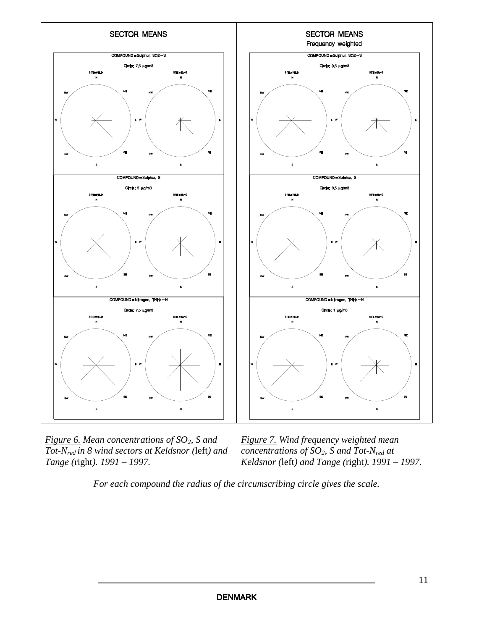

*Figure 6. Mean concentrations of SO2, S and Tot-Nred in 8 wind sectors at Keldsnor (*left*) and Tange (*right*). 1991 – 1997.*

*Figure 7. Wind frequency weighted mean concentrations of SO2, S and Tot-Nred at Keldsnor (*left*) and Tange (*right*). 1991 – 1997.*

*For each compound the radius of the circumscribing circle gives the scale.*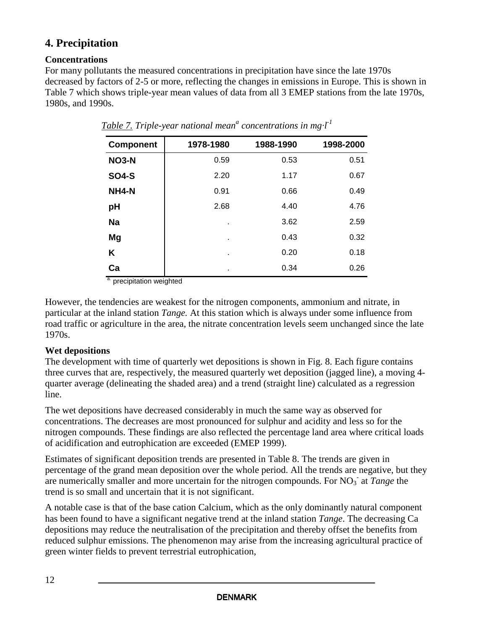# **4. Precipitation**

## **Concentrations**

For many pollutants the measured concentrations in precipitation have since the late 1970s decreased by factors of 2-5 or more, reflecting the changes in emissions in Europe. This is shown in Table 7 which shows triple-year mean values of data from all 3 EMEP stations from the late 1970s, 1980s, and 1990s.

| <b>Component</b> | 1978-1980 | 1988-1990 | 1998-2000 |
|------------------|-----------|-----------|-----------|
| <b>NO3-N</b>     | 0.59      | 0.53      | 0.51      |
| <b>SO4-S</b>     | 2.20      | 1.17      | 0.67      |
| NH4-N            | 0.91      | 0.66      | 0.49      |
| pH               | 2.68      | 4.40      | 4.76      |
| <b>Na</b>        | ٠         | 3.62      | 2.59      |
| Mg               | ٠         | 0.43      | 0.32      |
| K                | ٠         | 0.20      | 0.18      |
| Ca               | ٠         | 0.34      | 0.26      |

 $Table 7$ . Triple-year national mean<sup>a</sup> concentrations in mg·l<sup>-1</sup>

<sup>a.</sup> precipitation weighted

However, the tendencies are weakest for the nitrogen components, ammonium and nitrate, in particular at the inland station *Tange.* At this station which is always under some influence from road traffic or agriculture in the area, the nitrate concentration levels seem unchanged since the late 1970s.

## **Wet depositions**

The development with time of quarterly wet depositions is shown in Fig. 8. Each figure contains three curves that are, respectively, the measured quarterly wet deposition (jagged line), a moving 4 quarter average (delineating the shaded area) and a trend (straight line) calculated as a regression line.

The wet depositions have decreased considerably in much the same way as observed for concentrations. The decreases are most pronounced for sulphur and acidity and less so for the nitrogen compounds. These findings are also reflected the percentage land area where critical loads of acidification and eutrophication are exceeded (EMEP 1999).

Estimates of significant deposition trends are presented in Table 8. The trends are given in percentage of the grand mean deposition over the whole period. All the trends are negative, but they are numerically smaller and more uncertain for the nitrogen compounds. For NO<sub>3</sub> at *Tange* the trend is so small and uncertain that it is not significant.

A notable case is that of the base cation Calcium, which as the only dominantly natural component has been found to have a significant negative trend at the inland station *Tange*. The decreasing Ca depositions may reduce the neutralisation of the precipitation and thereby offset the benefits from reduced sulphur emissions. The phenomenon may arise from the increasing agricultural practice of green winter fields to prevent terrestrial eutrophication,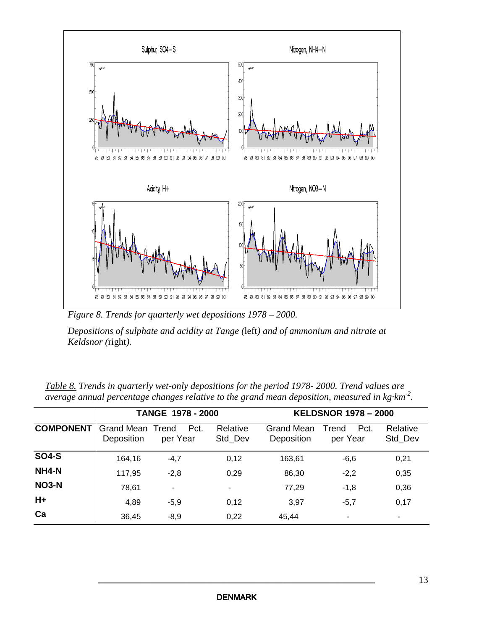

*Figure 8. Trends for quarterly wet depositions 1978 – 2000.*

*Depositions of sulphate and acidity at Tange (*left*) and of ammonium and nitrate at Keldsnor (*right*).*

|                  |                                       | TANGE 1978 - 2000 |                     |                          | <b>KELDSNOR 1978 - 2000</b> |                     |  |  |
|------------------|---------------------------------------|-------------------|---------------------|--------------------------|-----------------------------|---------------------|--|--|
| <b>COMPONENT</b> | <b>Grand Mean Trend</b><br>Deposition | Pct.<br>per Year  | Relative<br>Std Dev | Grand Mean<br>Deposition | Pct.<br>Trend<br>per Year   | Relative<br>Std_Dev |  |  |
| <b>SO4-S</b>     | 164,16                                | $-4,7$            | 0,12                | 163.61                   | $-6,6$                      | 0,21                |  |  |
| NH4-N            | 117,95                                | $-2,8$            | 0,29                | 86,30                    | $-2,2$                      | 0,35                |  |  |
| <b>NO3-N</b>     | 78,61                                 | $\blacksquare$    | ۰                   | 77,29                    | $-1,8$                      | 0,36                |  |  |
| $H+$             | 4,89                                  | $-5,9$            | 0,12                | 3.97                     | $-5,7$                      | 0,17                |  |  |
| Ca               | 36,45                                 | $-8,9$            | 0,22                | 45,44                    | $\blacksquare$              |                     |  |  |

*Table 8. Trends in quarterly wet-only depositions for the period 1978- 2000. Trend values are average annual percentage changes relative to the grand mean deposition, measured in kg·km -2 .*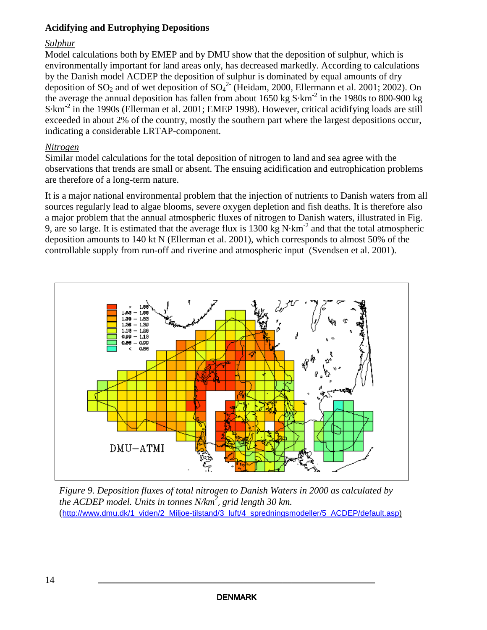#### **Acidifying and Eutrophying Depositions**

#### *Sulphur*

Model calculations both by EMEP and by DMU show that the deposition of sulphur*,* which is environmentally important for land areas only, has decreased markedly. According to calculations by the Danish model ACDEP the deposition of sulphur is dominated by equal amounts of dry deposition of  $SO_2$  and of wet deposition of  $SO_4^2$  (Heidam, 2000, Ellermann et al. 2001; 2002). On the average the annual deposition has fallen from about 1650 kg  $S \cdot km^{-2}$  in the 1980s to 800-900 kg S·km<sup>-2</sup> in the 1990s (Ellerman et al. 2001; EMEP 1998). However, critical acidifying loads are still exceeded in about 2% of the country, mostly the southern part where the largest depositions occur, indicating a considerable LRTAP-component.

#### *Nitrogen*

Similar model calculations for the total deposition of nitrogen to land and sea agree with the observations that trends are small or absent. The ensuing acidification and eutrophication problems are therefore of a long-term nature.

It is a major national environmental problem that the injection of nutrients to Danish waters from all sources regularly lead to algae blooms, severe oxygen depletion and fish deaths. It is therefore also a major problem that the annual atmospheric fluxes of nitrogen to Danish waters, illustrated in Fig. 9, are so large. It is estimated that the average flux is  $1300 \text{ kg N} \cdot \text{km}^{-2}$  and that the total atmospheric deposition amounts to 140 kt N (Ellerman et al. 2001), which corresponds to almost 50% of the controllable supply from run-off and riverine and atmospheric input (Svendsen et al. 2001).



*Figure 9. Deposition fluxes of total nitrogen to Danish Waters in 2000 as calculated by the ACDEP model. Units in tonnes N/km 2* , *grid length 30 km.* (http://www.dmu.dk/1\_viden/2\_Miljoe-tilstand/3\_luft/4\_spredningsmodeller/5\_ACDEP/default.asp)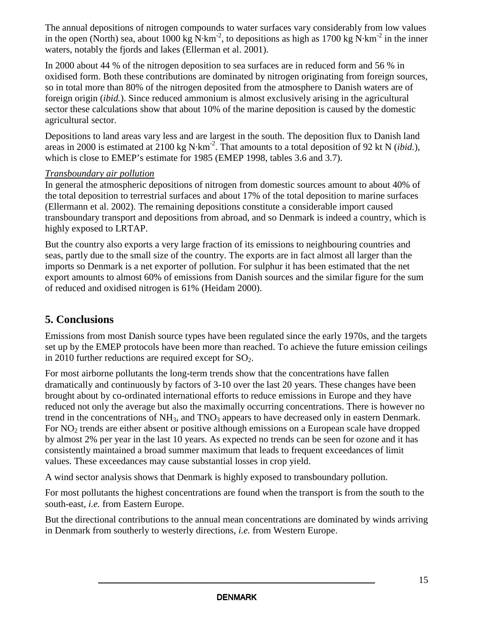The annual depositions of nitrogen compounds to water surfaces vary considerably from low values in the open (North) sea, about 1000 kg N·km<sup>-2</sup>, to depositions as high as 1700 kg N·km<sup>-2</sup> in the inner waters, notably the fjords and lakes (Ellerman et al. 2001).

In 2000 about 44 % of the nitrogen deposition to sea surfaces are in reduced form and 56 % in oxidised form. Both these contributions are dominated by nitrogen originating from foreign sources, so in total more than 80% of the nitrogen deposited from the atmosphere to Danish waters are of foreign origin (*ibid.*). Since reduced ammonium is almost exclusively arising in the agricultural sector these calculations show that about 10% of the marine deposition is caused by the domestic agricultural sector.

Depositions to land areas vary less and are largest in the south. The deposition flux to Danish land areas in 2000 is estimated at 2100 kg N·km<sup>-2</sup>. That amounts to a total deposition of 92 kt N (*ibid.*), which is close to EMEP's estimate for 1985 (EMEP 1998, tables 3.6 and 3.7).

## *Transboundary air pollution*

In general the atmospheric depositions of nitrogen from domestic sources amount to about 40% of the total deposition to terrestrial surfaces and about 17% of the total deposition to marine surfaces (Ellermann et al. 2002). The remaining depositions constitute a considerable import caused transboundary transport and depositions from abroad, and so Denmark is indeed a country, which is highly exposed to LRTAP.

But the country also exports a very large fraction of its emissions to neighbouring countries and seas, partly due to the small size of the country. The exports are in fact almost all larger than the imports so Denmark is a net exporter of pollution. For sulphur it has been estimated that the net export amounts to almost 60% of emissions from Danish sources and the similar figure for the sum of reduced and oxidised nitrogen is 61% (Heidam 2000).

# **5. Conclusions**

Emissions from most Danish source types have been regulated since the early 1970s, and the targets set up by the EMEP protocols have been more than reached. To achieve the future emission ceilings in 2010 further reductions are required except for  $SO_2$ .

For most airborne pollutants the long-term trends show that the concentrations have fallen dramatically and continuously by factors of 3-10 over the last 20 years. These changes have been brought about by co-ordinated international efforts to reduce emissions in Europe and they have reduced not only the average but also the maximally occurring concentrations. There is however no trend in the concentrations of  $NH_3$ , and  $TNO_3$  appears to have decreased only in eastern Denmark. For NO<sup>2</sup> trends are either absent or positive although emissions on a European scale have dropped by almost 2% per year in the last 10 years. As expected no trends can be seen for ozone and it has consistently maintained a broad summer maximum that leads to frequent exceedances of limit values. These exceedances may cause substantial losses in crop yield.

A wind sector analysis shows that Denmark is highly exposed to transboundary pollution.

For most pollutants the highest concentrations are found when the transport is from the south to the south-east, *i.e.* from Eastern Europe.

But the directional contributions to the annual mean concentrations are dominated by winds arriving in Denmark from southerly to westerly directions, *i.e.* from Western Europe.